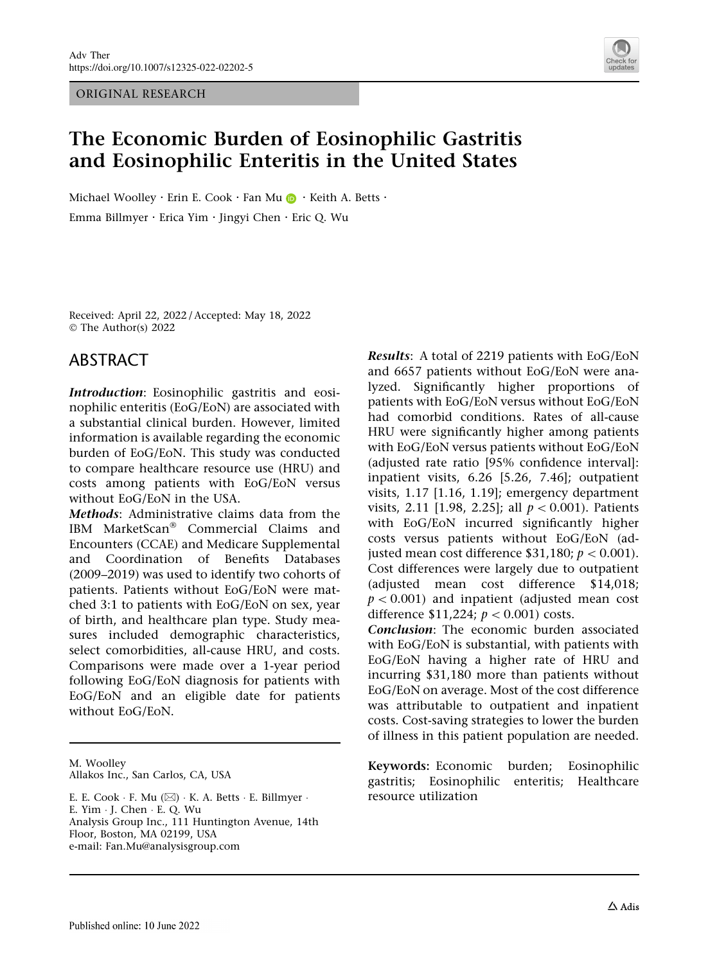ORIGINAL RESEARCH



# The Economic Burden of Eosinophilic Gastritis and Eosinophilic Enteritis in the United States

Michael Woolley · Erin E. Cook · Fan Mu  $\bigcirc$  · Keith A. Betts · Emma Billmyer . Erica Yim . Jingyi Chen . Eric Q. Wu

Received: April 22, 2022 / Accepted: May 18, 2022 © The Author(s) 2022

## ABSTRACT

Introduction: Eosinophilic gastritis and eosinophilic enteritis (EoG/EoN) are associated with a substantial clinical burden. However, limited information is available regarding the economic burden of EoG/EoN. This study was conducted to compare healthcare resource use (HRU) and costs among patients with EoG/EoN versus without EoG/EoN in the USA.

Methods: Administrative claims data from the IBM MarketScan<sup>®</sup> Commercial Claims and Encounters (CCAE) and Medicare Supplemental and Coordination of Benefits Databases (2009–2019) was used to identify two cohorts of patients. Patients without EoG/EoN were matched 3:1 to patients with EoG/EoN on sex, year of birth, and healthcare plan type. Study measures included demographic characteristics, select comorbidities, all-cause HRU, and costs. Comparisons were made over a 1-year period following EoG/EoN diagnosis for patients with EoG/EoN and an eligible date for patients without EoG/EoN.

M. Woolley Allakos Inc., San Carlos, CA, USA

E. E. Cook · F. Mu (⊠) · K. A. Betts · E. Billmyer · E. Yim - J. Chen - E. Q. Wu Analysis Group Inc., 111 Huntington Avenue, 14th Floor, Boston, MA 02199, USA e-mail: Fan.Mu@analysisgroup.com

Results: A total of 2219 patients with EoG/EoN and 6657 patients without EoG/EoN were analyzed. Significantly higher proportions of patients with EoG/EoN versus without EoG/EoN had comorbid conditions. Rates of all-cause HRU were significantly higher among patients with EoG/EoN versus patients without EoG/EoN (adjusted rate ratio [95% confidence interval]: inpatient visits, 6.26 [5.26, 7.46]; outpatient visits, 1.17 [1.16, 1.19]; emergency department visits, 2.11 [1.98, 2.25]; all  $p < 0.001$ ). Patients with EoG/EoN incurred significantly higher costs versus patients without EoG/EoN (adjusted mean cost difference \$31,180;  $p < 0.001$ ). Cost differences were largely due to outpatient (adjusted mean cost difference \$14,018;  $p < 0.001$ ) and inpatient (adjusted mean cost difference \$11,224;  $p < 0.001$ ) costs.

Conclusion: The economic burden associated with EoG/EoN is substantial, with patients with EoG/EoN having a higher rate of HRU and incurring \$31,180 more than patients without EoG/EoN on average. Most of the cost difference was attributable to outpatient and inpatient costs. Cost-saving strategies to lower the burden of illness in this patient population are needed.

Keywords: Economic burden; Eosinophilic gastritis; Eosinophilic enteritis; Healthcare resource utilization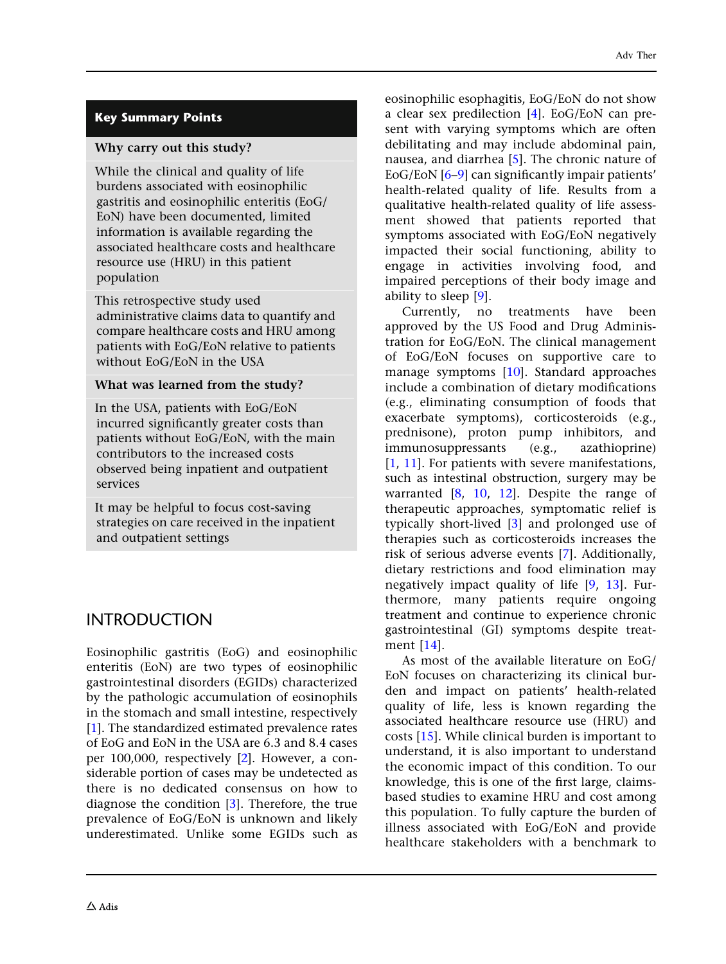## Key Summary Points

#### Why carry out this study?

While the clinical and quality of life burdens associated with eosinophilic gastritis and eosinophilic enteritis (EoG/ EoN) have been documented, limited information is available regarding the associated healthcare costs and healthcare resource use (HRU) in this patient population

This retrospective study used administrative claims data to quantify and compare healthcare costs and HRU among patients with EoG/EoN relative to patients without EoG/EoN in the USA

### What was learned from the study?

In the USA, patients with EoG/EoN incurred significantly greater costs than patients without EoG/EoN, with the main contributors to the increased costs observed being inpatient and outpatient services

It may be helpful to focus cost-saving strategies on care received in the inpatient and outpatient settings

# INTRODUCTION

Eosinophilic gastritis (EoG) and eosinophilic enteritis (EoN) are two types of eosinophilic gastrointestinal disorders (EGIDs) characterized by the pathologic accumulation of eosinophils in the stomach and small intestine, respectively [\[1\]](#page-12-0). The standardized estimated prevalence rates of EoG and EoN in the USA are 6.3 and 8.4 cases per 100,000, respectively [[2](#page-12-0)]. However, a considerable portion of cases may be undetected as there is no dedicated consensus on how to diagnose the condition [\[3\]](#page-12-0). Therefore, the true prevalence of EoG/EoN is unknown and likely underestimated. Unlike some EGIDs such as eosinophilic esophagitis, EoG/EoN do not show a clear sex predilection [[4](#page-12-0)]. EoG/EoN can present with varying symptoms which are often debilitating and may include abdominal pain, nausea, and diarrhea [\[5](#page-12-0)]. The chronic nature of EoG/EoN [[6–9](#page-12-0)] can significantly impair patients' health-related quality of life. Results from a qualitative health-related quality of life assessment showed that patients reported that symptoms associated with EoG/EoN negatively impacted their social functioning, ability to engage in activities involving food, and impaired perceptions of their body image and ability to sleep [[9](#page-12-0)].

Currently, no treatments have been approved by the US Food and Drug Administration for EoG/EoN. The clinical management of EoG/EoN focuses on supportive care to manage symptoms [[10](#page-12-0)]. Standard approaches include a combination of dietary modifications (e.g., eliminating consumption of foods that exacerbate symptoms), corticosteroids (e.g., prednisone), proton pump inhibitors, and immunosuppressants (e.g., azathioprine) [\[1](#page-12-0), [11\]](#page-12-0). For patients with severe manifestations, such as intestinal obstruction, surgery may be warranted  $[8, 10, 12]$  $[8, 10, 12]$  $[8, 10, 12]$  $[8, 10, 12]$  $[8, 10, 12]$ . Despite the range of therapeutic approaches, symptomatic relief is typically short-lived [[3](#page-12-0)] and prolonged use of therapies such as corticosteroids increases the risk of serious adverse events [[7](#page-12-0)]. Additionally, dietary restrictions and food elimination may negatively impact quality of life [\[9,](#page-12-0) [13\]](#page-12-0). Furthermore, many patients require ongoing treatment and continue to experience chronic gastrointestinal (GI) symptoms despite treatment [\[14\]](#page-12-0).

As most of the available literature on EoG/ EoN focuses on characterizing its clinical burden and impact on patients' health-related quality of life, less is known regarding the associated healthcare resource use (HRU) and costs [[15](#page-12-0)]. While clinical burden is important to understand, it is also important to understand the economic impact of this condition. To our knowledge, this is one of the first large, claimsbased studies to examine HRU and cost among this population. To fully capture the burden of illness associated with EoG/EoN and provide healthcare stakeholders with a benchmark to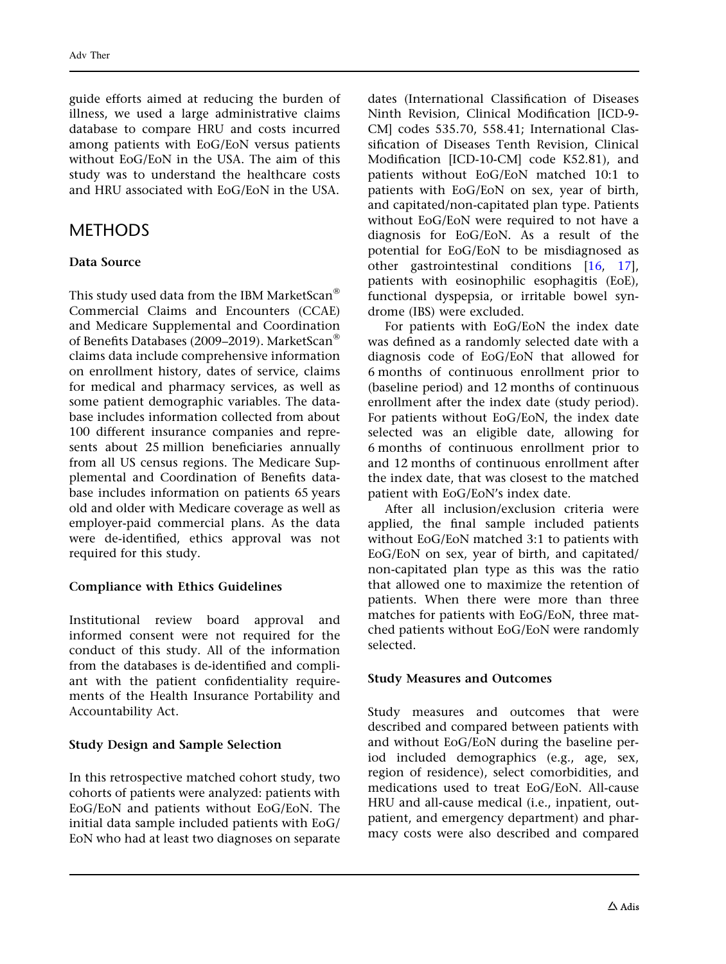guide efforts aimed at reducing the burden of illness, we used a large administrative claims database to compare HRU and costs incurred among patients with EoG/EoN versus patients without EoG/EoN in the USA. The aim of this study was to understand the healthcare costs and HRU associated with EoG/EoN in the USA.

## **METHODS**

#### Data Source

This study used data from the IBM MarketScan<sup>®</sup> Commercial Claims and Encounters (CCAE) and Medicare Supplemental and Coordination of Benefits Databases (2009–2019). MarketScan<sup>®</sup> claims data include comprehensive information on enrollment history, dates of service, claims for medical and pharmacy services, as well as some patient demographic variables. The database includes information collected from about 100 different insurance companies and represents about 25 million beneficiaries annually from all US census regions. The Medicare Supplemental and Coordination of Benefits database includes information on patients 65 years old and older with Medicare coverage as well as employer-paid commercial plans. As the data were de-identified, ethics approval was not required for this study.

#### Compliance with Ethics Guidelines

Institutional review board approval and informed consent were not required for the conduct of this study. All of the information from the databases is de-identified and compliant with the patient confidentiality requirements of the Health Insurance Portability and Accountability Act.

#### Study Design and Sample Selection

In this retrospective matched cohort study, two cohorts of patients were analyzed: patients with EoG/EoN and patients without EoG/EoN. The initial data sample included patients with EoG/ EoN who had at least two diagnoses on separate

dates (International Classification of Diseases Ninth Revision, Clinical Modification [ICD-9- CM] codes 535.70, 558.41; International Classification of Diseases Tenth Revision, Clinical Modification [ICD-10-CM] code K52.81), and patients without EoG/EoN matched 10:1 to patients with EoG/EoN on sex, year of birth, and capitated/non-capitated plan type. Patients without EoG/EoN were required to not have a diagnosis for EoG/EoN. As a result of the potential for EoG/EoN to be misdiagnosed as other gastrointestinal conditions [\[16,](#page-12-0) [17](#page-12-0)], patients with eosinophilic esophagitis (EoE), functional dyspepsia, or irritable bowel syndrome (IBS) were excluded.

For patients with EoG/EoN the index date was defined as a randomly selected date with a diagnosis code of EoG/EoN that allowed for 6 months of continuous enrollment prior to (baseline period) and 12 months of continuous enrollment after the index date (study period). For patients without EoG/EoN, the index date selected was an eligible date, allowing for 6 months of continuous enrollment prior to and 12 months of continuous enrollment after the index date, that was closest to the matched patient with EoG/EoN's index date.

After all inclusion/exclusion criteria were applied, the final sample included patients without EoG/EoN matched 3:1 to patients with EoG/EoN on sex, year of birth, and capitated/ non-capitated plan type as this was the ratio that allowed one to maximize the retention of patients. When there were more than three matches for patients with EoG/EoN, three matched patients without EoG/EoN were randomly selected.

#### Study Measures and Outcomes

Study measures and outcomes that were described and compared between patients with and without EoG/EoN during the baseline period included demographics (e.g., age, sex, region of residence), select comorbidities, and medications used to treat EoG/EoN. All-cause HRU and all-cause medical (i.e., inpatient, outpatient, and emergency department) and pharmacy costs were also described and compared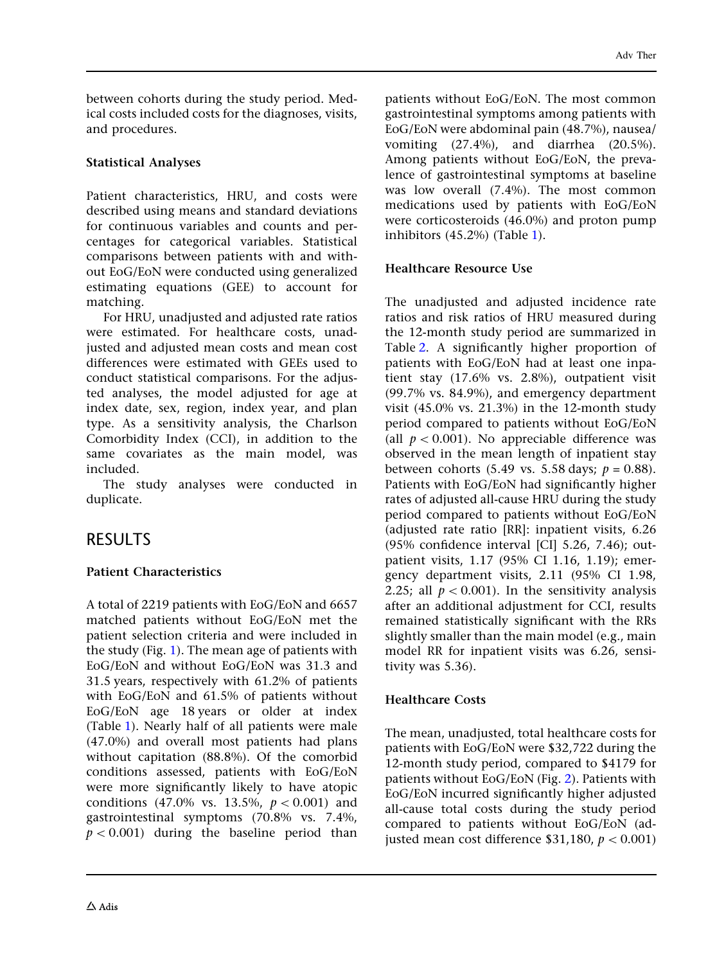between cohorts during the study period. Medical costs included costs for the diagnoses, visits, and procedures.

## Statistical Analyses

Patient characteristics, HRU, and costs were described using means and standard deviations for continuous variables and counts and percentages for categorical variables. Statistical comparisons between patients with and without EoG/EoN were conducted using generalized estimating equations (GEE) to account for matching.

For HRU, unadjusted and adjusted rate ratios were estimated. For healthcare costs, unadjusted and adjusted mean costs and mean cost differences were estimated with GEEs used to conduct statistical comparisons. For the adjusted analyses, the model adjusted for age at index date, sex, region, index year, and plan type. As a sensitivity analysis, the Charlson Comorbidity Index (CCI), in addition to the same covariates as the main model, was included.

The study analyses were conducted in duplicate.

# **RESULTS**

## Patient Characteristics

A total of 2219 patients with EoG/EoN and 6657 matched patients without EoG/EoN met the patient selection criteria and were included in the study (Fig. [1\)](#page-4-0). The mean age of patients with EoG/EoN and without EoG/EoN was 31.3 and 31.5 years, respectively with 61.2% of patients with EoG/EoN and 61.5% of patients without EoG/EoN age 18 years or older at index (Table [1\)](#page-5-0). Nearly half of all patients were male (47.0%) and overall most patients had plans without capitation (88.8%). Of the comorbid conditions assessed, patients with EoG/EoN were more significantly likely to have atopic conditions (47.0% vs. 13.5%,  $p < 0.001$ ) and gastrointestinal symptoms (70.8% vs. 7.4%,  $p < 0.001$ ) during the baseline period than patients without EoG/EoN. The most common gastrointestinal symptoms among patients with EoG/EoN were abdominal pain (48.7%), nausea/ vomiting (27.4%), and diarrhea (20.5%). Among patients without EoG/EoN, the prevalence of gastrointestinal symptoms at baseline was low overall (7.4%). The most common medications used by patients with EoG/EoN were corticosteroids (46.0%) and proton pump inhibitors (45.2%) (Table [1\)](#page-5-0).

### Healthcare Resource Use

The unadjusted and adjusted incidence rate ratios and risk ratios of HRU measured during the 12-month study period are summarized in Table [2](#page-8-0). A significantly higher proportion of patients with EoG/EoN had at least one inpatient stay (17.6% vs. 2.8%), outpatient visit (99.7% vs. 84.9%), and emergency department visit (45.0% vs. 21.3%) in the 12-month study period compared to patients without EoG/EoN (all  $p < 0.001$ ). No appreciable difference was observed in the mean length of inpatient stay between cohorts (5.49 vs. 5.58 days;  $p = 0.88$ ). Patients with EoG/EoN had significantly higher rates of adjusted all-cause HRU during the study period compared to patients without EoG/EoN (adjusted rate ratio [RR]: inpatient visits, 6.26 (95% confidence interval [CI] 5.26, 7.46); outpatient visits, 1.17 (95% CI 1.16, 1.19); emergency department visits, 2.11 (95% CI 1.98, 2.25; all  $p < 0.001$ ). In the sensitivity analysis after an additional adjustment for CCI, results remained statistically significant with the RRs slightly smaller than the main model (e.g., main model RR for inpatient visits was 6.26, sensitivity was 5.36).

### Healthcare Costs

The mean, unadjusted, total healthcare costs for patients with EoG/EoN were \$32,722 during the 12-month study period, compared to \$4179 for patients without EoG/EoN (Fig. [2](#page-9-0)). Patients with EoG/EoN incurred significantly higher adjusted all-cause total costs during the study period compared to patients without EoG/EoN (adjusted mean cost difference \$31,180,  $p < 0.001$ )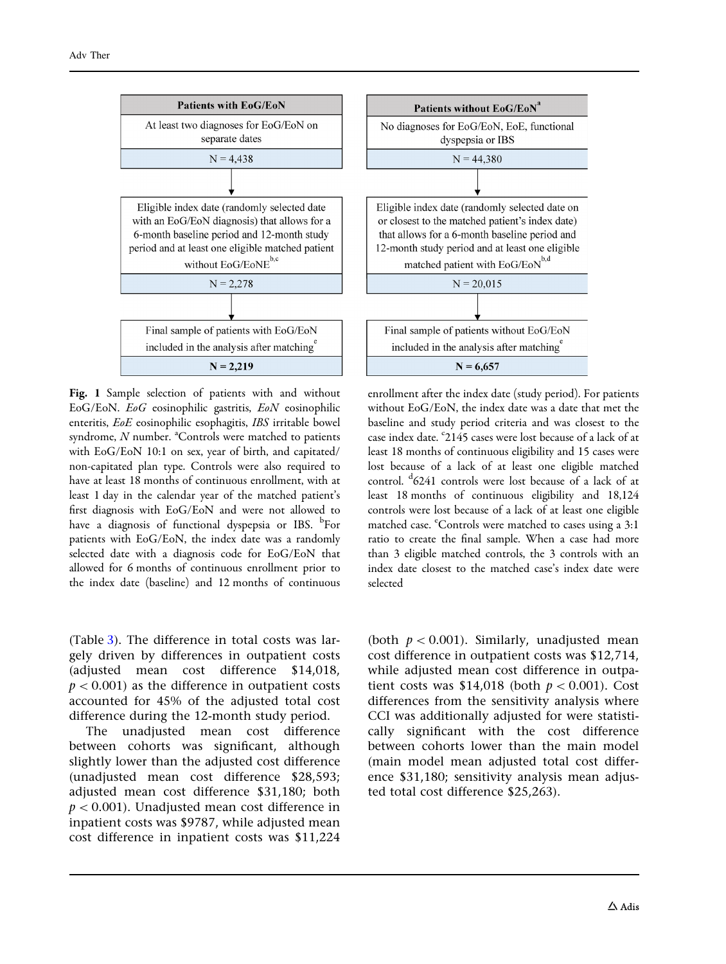<span id="page-4-0"></span>

Fig. 1 Sample selection of patients with and without EoG/EoN. EoG eosinophilic gastritis, EoN eosinophilic enteritis, EoE eosinophilic esophagitis, IBS irritable bowel syndrome,  $N$  number.  $^{\text{a}}$ Controls were matched to patients with EoG/EoN 10:1 on sex, year of birth, and capitated/ non-capitated plan type. Controls were also required to have at least 18 months of continuous enrollment, with at least 1 day in the calendar year of the matched patient's first diagnosis with EoG/EoN and were not allowed to have a diagnosis of functional dyspepsia or IBS. <sup>b</sup>For patients with EoG/EoN, the index date was a randomly selected date with a diagnosis code for EoG/EoN that allowed for 6 months of continuous enrollment prior to the index date (baseline) and 12 months of continuous

(Table [3\)](#page-10-0). The difference in total costs was largely driven by differences in outpatient costs (adjusted mean cost difference \$14,018,  $p < 0.001$ ) as the difference in outpatient costs accounted for 45% of the adjusted total cost difference during the 12-month study period.

The unadjusted mean cost difference between cohorts was significant, although slightly lower than the adjusted cost difference (unadjusted mean cost difference \$28,593; adjusted mean cost difference \$31,180; both  $p < 0.001$ ). Unadjusted mean cost difference in inpatient costs was \$9787, while adjusted mean cost difference in inpatient costs was \$11,224 enrollment after the index date (study period). For patients without EoG/EoN, the index date was a date that met the baseline and study period criteria and was closest to the case index date. <sup>c</sup>2145 cases were lost because of a lack of at least 18 months of continuous eligibility and 15 cases were lost because of a lack of at least one eligible matched control. <sup>d</sup> 6241 controls were lost because of a lack of at least 18 months of continuous eligibility and 18,124 controls were lost because of a lack of at least one eligible matched case. "Controls were matched to cases using a 3:1 ratio to create the final sample. When a case had more than 3 eligible matched controls, the 3 controls with an index date closest to the matched case's index date were selected

(both  $p < 0.001$ ). Similarly, unadjusted mean cost difference in outpatient costs was \$12,714, while adjusted mean cost difference in outpatient costs was  $$14,018$  (both  $p < 0.001$ ). Cost differences from the sensitivity analysis where CCI was additionally adjusted for were statistically significant with the cost difference between cohorts lower than the main model (main model mean adjusted total cost difference \$31,180; sensitivity analysis mean adjusted total cost difference \$25,263).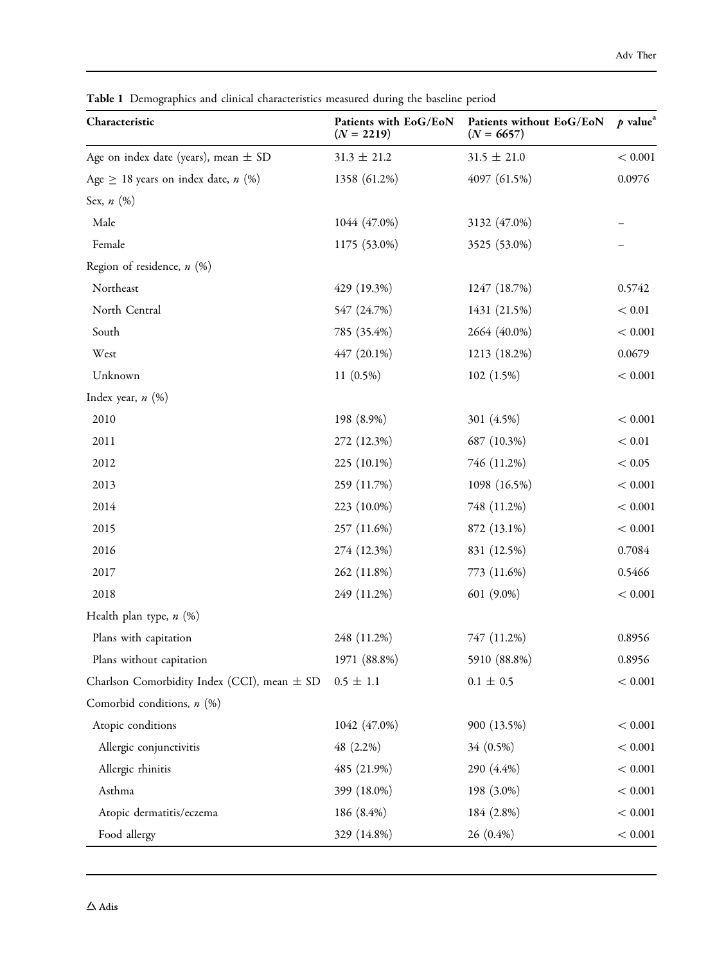| Characteristic                                  | Patients with EoG/EoN<br>$(N = 2219)$ | Patients without EoG/EoN<br>$(N = 6657)$ | $p$ value <sup>a</sup> |
|-------------------------------------------------|---------------------------------------|------------------------------------------|------------------------|
| Age on index date (years), mean $\pm$ SD        | $31.3 \pm 21.2$                       | $31.5 \pm 21.0$                          | $< 0.001$              |
| Age $\geq$ 18 years on index date, <i>n</i> (%) | 1358 (61.2%)                          | 4097 (61.5%)                             | 0.0976                 |
| Sex, $n$ $(\%)$                                 |                                       |                                          |                        |
| Male                                            | 1044 (47.0%)                          | 3132 (47.0%)                             |                        |
| Female                                          | 1175 (53.0%)                          | 3525 (53.0%)                             |                        |
| Region of residence, $n$ (%)                    |                                       |                                          |                        |
| Northeast                                       | 429 (19.3%)                           | 1247 (18.7%)                             | 0.5742                 |
| North Central                                   | 547 (24.7%)                           | 1431 (21.5%)                             | $< 0.01$               |
| South                                           | 785 (35.4%)                           | 2664 (40.0%)                             | < 0.001                |
| West                                            | 447 (20.1%)                           | 1213 (18.2%)                             | 0.0679                 |
| Unknown                                         | $11(0.5\%)$                           | 102 (1.5%)                               | < 0.001                |
| Index year, $n$ $(\%)$                          |                                       |                                          |                        |
| 2010                                            | 198 (8.9%)                            | 301 (4.5%)                               | < 0.001                |
| 2011                                            | 272 (12.3%)                           | 687 (10.3%)                              | $< 0.01\,$             |
| 2012                                            | 225 (10.1%)                           | 746 (11.2%)                              | < 0.05                 |
| 2013                                            | 259 (11.7%)                           | 1098 (16.5%)                             | $< 0.001$              |
| 2014                                            | 223 (10.0%)                           | 748 (11.2%)                              | < 0.001                |
| 2015                                            | 257 (11.6%)                           | 872 (13.1%)                              | < 0.001                |
| 2016                                            | 274 (12.3%)                           | 831 (12.5%)                              | 0.7084                 |
| 2017                                            | 262 (11.8%)                           | 773 (11.6%)                              | 0.5466                 |
| 2018                                            | 249 (11.2%)                           | 601 (9.0%)                               | < 0.001                |
| Health plan type, $n$ $(\%)$                    |                                       |                                          |                        |
| Plans with capitation                           | 248 (11.2%)                           | 747 (11.2%)                              | 0.8956                 |
| Plans without capitation                        | 1971 (88.8%)                          | 5910 (88.8%)                             | 0.8956                 |
| Charlson Comorbidity Index (CCI), mean $\pm$ SD | $0.5 \pm 1.1$                         | $0.1 \pm 0.5$                            | $< 0.001$              |
| Comorbid conditions, $n$ (%)                    |                                       |                                          |                        |
| Atopic conditions                               | 1042 (47.0%)                          | 900 (13.5%)                              | $< 0.001$              |
| Allergic conjunctivitis                         | 48 (2.2%)                             | 34 (0.5%)                                | $< 0.001$              |
| Allergic rhinitis                               | 485 (21.9%)                           | 290 (4.4%)                               | $< 0.001$              |
| Asthma                                          | 399 (18.0%)                           | 198 (3.0%)                               | $< 0.001$              |
| Atopic dermatitis/eczema                        | 186 (8.4%)                            | 184 (2.8%)                               | $< 0.001$              |
| Food allergy                                    | 329 (14.8%)                           | 26 (0.4%)                                | < 0.001                |

<span id="page-5-0"></span>Table 1 Demographics and clinical characteristics measured during the baseline period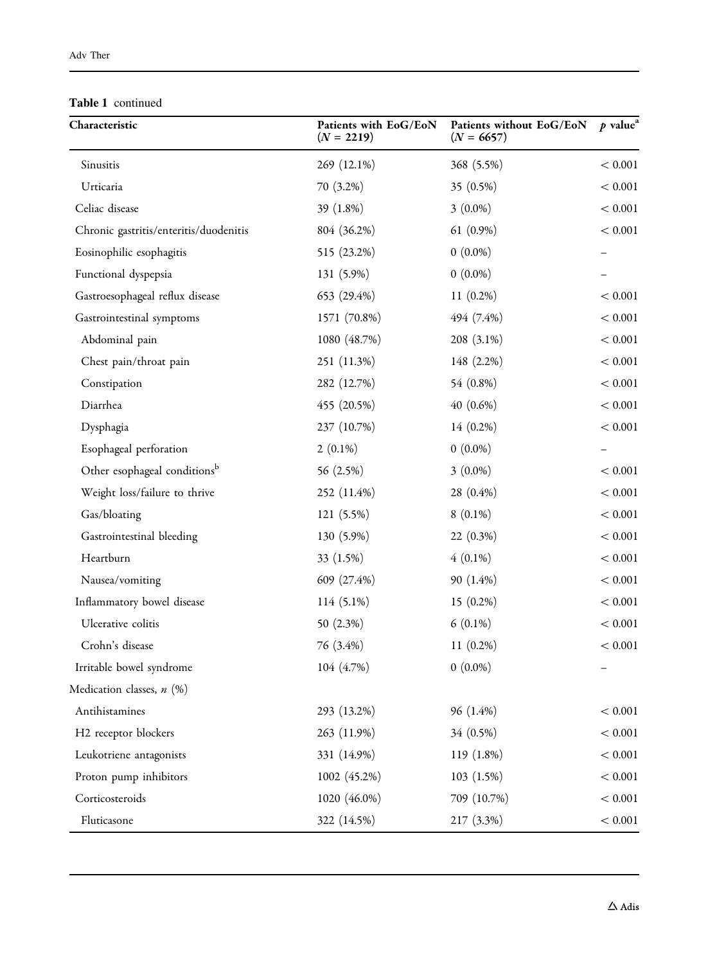#### Table 1 continued

| Characteristic                           | Patients with EoG/EoN<br>$(N = 2219)$ | Patients without EoG/EoN<br>$(N = 6657)$ | $p$ value <sup>a</sup> |
|------------------------------------------|---------------------------------------|------------------------------------------|------------------------|
| Sinusitis                                | 269 (12.1%)                           | 368 (5.5%)                               | < 0.001                |
| Urticaria                                | 70 (3.2%)                             | 35 (0.5%)                                | < 0.001                |
| Celiac disease                           | 39 (1.8%)                             | $3(0.0\%)$                               | < 0.001                |
| Chronic gastritis/enteritis/duodenitis   | 804 (36.2%)                           | 61 $(0.9\%)$                             | < 0.001                |
| Eosinophilic esophagitis                 | 515 (23.2%)                           | $0(0.0\%)$                               |                        |
| Functional dyspepsia                     | 131 (5.9%)                            | $0(0.0\%)$                               |                        |
| Gastroesophageal reflux disease          | 653 (29.4%)                           | $11(0.2\%)$                              | < 0.001                |
| Gastrointestinal symptoms                | 1571 (70.8%)                          | 494 (7.4%)                               | < 0.001                |
| Abdominal pain                           | 1080 (48.7%)                          | $208(3.1\%)$                             | < 0.001                |
| Chest pain/throat pain                   | 251 (11.3%)                           | 148 (2.2%)                               | < 0.001                |
| Constipation                             | 282 (12.7%)                           | 54 (0.8%)                                | < 0.001                |
| Diarrhea                                 | 455 (20.5%)                           | 40 (0.6%)                                | < 0.001                |
| Dysphagia                                | 237 (10.7%)                           | 14 (0.2%)                                | < 0.001                |
| Esophageal perforation                   | $2(0.1\%)$                            | $0(0.0\%)$                               |                        |
| Other esophageal conditions <sup>b</sup> | 56 (2.5%)                             | $3(0.0\%)$                               | < 0.001                |
| Weight loss/failure to thrive            | 252 (11.4%)                           | 28 (0.4%)                                | < 0.001                |
| Gas/bloating                             | 121 (5.5%)                            | $8(0.1\%)$                               | < 0.001                |
| Gastrointestinal bleeding                | 130 (5.9%)                            | 22 (0.3%)                                | < 0.001                |
| Heartburn                                | 33 (1.5%)                             | $4(0.1\%)$                               | < 0.001                |
| Nausea/vomiting                          | 609 (27.4%)                           | 90 (1.4%)                                | < 0.001                |
| Inflammatory bowel disease               | $114(5.1\%)$                          | $15(0.2\%)$                              | < 0.001                |
| Ulcerative colitis                       | 50 $(2.3\%)$                          | $6(0.1\%)$                               | $< 0.001$              |
| Crohn's disease                          | 76 (3.4%)                             | $11(0.2\%)$                              | < 0.001                |
| Irritable bowel syndrome                 | 104 (4.7%)                            | $0(0.0\%)$                               |                        |
| Medication classes, n (%)                |                                       |                                          |                        |
| Antihistamines                           | 293 (13.2%)                           | 96 (1.4%)                                | < 0.001                |
| H2 receptor blockers                     | 263(11.9%)                            | 34 (0.5%)                                | < 0.001                |
| Leukotriene antagonists                  | 331 (14.9%)                           | $119(1.8\%)$                             | < 0.001                |
| Proton pump inhibitors                   | 1002 (45.2%)                          | 103(1.5%)                                | < 0.001                |
| Corticosteroids                          | 1020 (46.0%)                          | 709 (10.7%)                              | < 0.001                |
| Fluticasone                              | 322 (14.5%)                           | 217 (3.3%)                               | < 0.001                |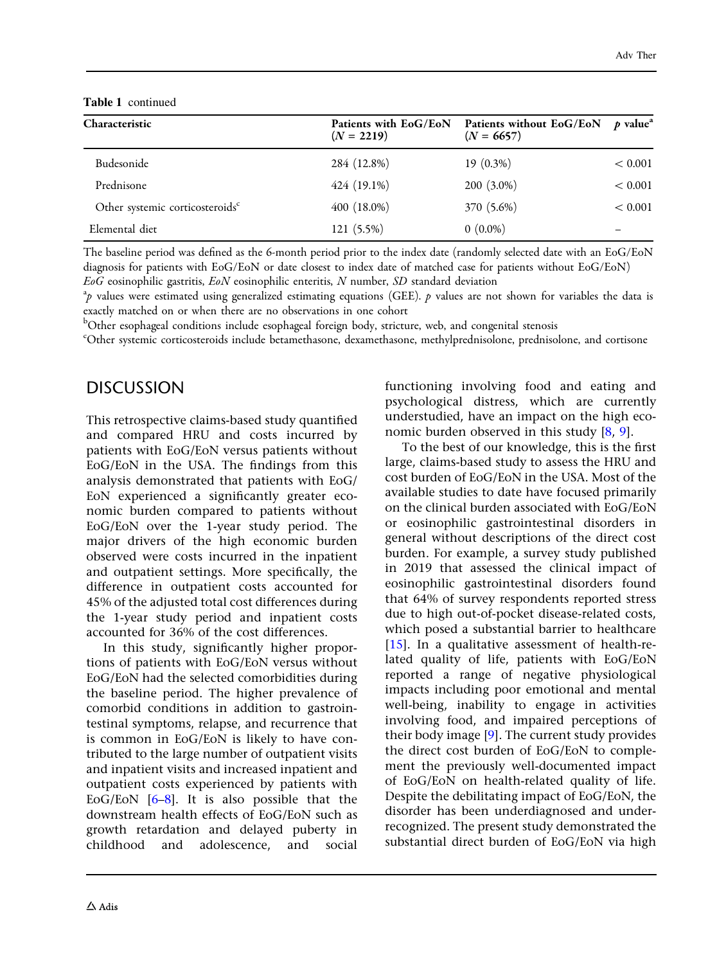Table 1 continued

| Characteristic                              | $(N = 2219)$  | Patients with EoG/EoN Patients without EoG/EoN p value <sup>a</sup><br>$(N = 6657)$ |         |
|---------------------------------------------|---------------|-------------------------------------------------------------------------------------|---------|
| Budesonide                                  | 284 (12.8%)   | $19(0.3\%)$                                                                         | < 0.001 |
| Prednisone                                  | $424(19.1\%)$ | $200(3.0\%)$                                                                        | < 0.001 |
| Other systemic corticosteroids <sup>c</sup> | $400(18.0\%)$ | 370 (5.6%)                                                                          | < 0.001 |
| Elemental diet                              | 121 (5.5%)    | $0(0.0\%)$                                                                          |         |

The baseline period was defined as the 6-month period prior to the index date (randomly selected date with an EoG/EoN diagnosis for patients with EoG/EoN or date closest to index date of matched case for patients without EoG/EoN)  $EoG$  eosinophilic gastritis,  $EoN$  eosinophilic enteritis, N number, SD standard deviation

 $^3p$  values were estimated using generalized estimating equations (GEE). p values are not shown for variables the data is exactly matched on or when there are no observations in one cohort

 $^{\rm b}$ Other esophageal conditions include esophageal foreign body, stricture, web, and congenital stenosis

c Other systemic corticosteroids include betamethasone, dexamethasone, methylprednisolone, prednisolone, and cortisone

# DISCUSSION

This retrospective claims-based study quantified and compared HRU and costs incurred by patients with EoG/EoN versus patients without EoG/EoN in the USA. The findings from this analysis demonstrated that patients with EoG/ EoN experienced a significantly greater economic burden compared to patients without EoG/EoN over the 1-year study period. The major drivers of the high economic burden observed were costs incurred in the inpatient and outpatient settings. More specifically, the difference in outpatient costs accounted for 45% of the adjusted total cost differences during the 1-year study period and inpatient costs accounted for 36% of the cost differences.

In this study, significantly higher proportions of patients with EoG/EoN versus without EoG/EoN had the selected comorbidities during the baseline period. The higher prevalence of comorbid conditions in addition to gastrointestinal symptoms, relapse, and recurrence that is common in EoG/EoN is likely to have contributed to the large number of outpatient visits and inpatient visits and increased inpatient and outpatient costs experienced by patients with EoG/EoN [\[6–8\]](#page-12-0). It is also possible that the downstream health effects of EoG/EoN such as growth retardation and delayed puberty in childhood and adolescence, and social functioning involving food and eating and psychological distress, which are currently understudied, have an impact on the high economic burden observed in this study [\[8](#page-12-0), [9](#page-12-0)].

To the best of our knowledge, this is the first large, claims-based study to assess the HRU and cost burden of EoG/EoN in the USA. Most of the available studies to date have focused primarily on the clinical burden associated with EoG/EoN or eosinophilic gastrointestinal disorders in general without descriptions of the direct cost burden. For example, a survey study published in 2019 that assessed the clinical impact of eosinophilic gastrointestinal disorders found that 64% of survey respondents reported stress due to high out-of-pocket disease-related costs, which posed a substantial barrier to healthcare [\[15\]](#page-12-0). In a qualitative assessment of health-related quality of life, patients with EoG/EoN reported a range of negative physiological impacts including poor emotional and mental well-being, inability to engage in activities involving food, and impaired perceptions of their body image [\[9\]](#page-12-0). The current study provides the direct cost burden of EoG/EoN to complement the previously well-documented impact of EoG/EoN on health-related quality of life. Despite the debilitating impact of EoG/EoN, the disorder has been underdiagnosed and underrecognized. The present study demonstrated the substantial direct burden of EoG/EoN via high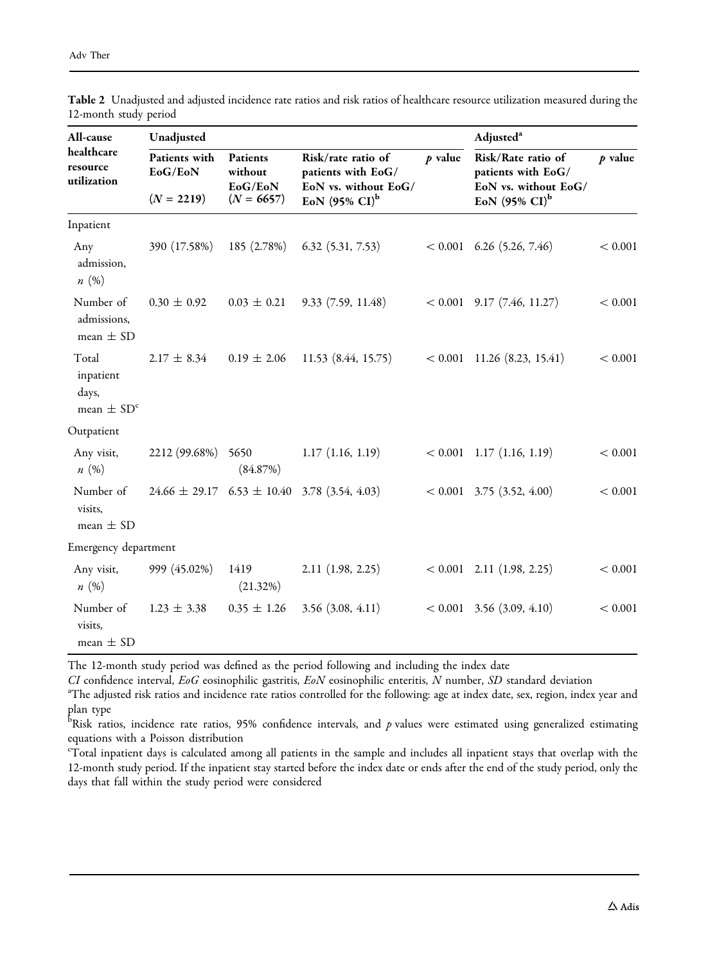| All-cause                                                 | Unadjusted                               |                                                |                                                                                               |           | Adjusted <sup>a</sup>                                                                         |           |
|-----------------------------------------------------------|------------------------------------------|------------------------------------------------|-----------------------------------------------------------------------------------------------|-----------|-----------------------------------------------------------------------------------------------|-----------|
| healthcare<br>resource<br>utilization                     | Patients with<br>EoG/EoN<br>$(N = 2219)$ | Patients<br>without<br>EoG/EoN<br>$(N = 6657)$ | Risk/rate ratio of<br>patients with EoG/<br>EoN vs. without EoG/<br>EoN $(95\% \text{ CI})^b$ | $p$ value | Risk/Rate ratio of<br>patients with EoG/<br>EoN vs. without EoG/<br>EoN $(95\% \text{ CI})^b$ | $p$ value |
| Inpatient                                                 |                                          |                                                |                                                                                               |           |                                                                                               |           |
| Any<br>admission,<br>n(%)                                 | 390 (17.58%)                             | 185 (2.78%)                                    | 6.32(5.31, 7.53)                                                                              |           | $< 0.001$ 6.26 (5.26, 7.46)                                                                   | < 0.001   |
| Number of<br>admissions,<br>mean $\pm$ SD                 | $0.30 \pm 0.92$                          | $0.03 \pm 0.21$                                | 9.33(7.59, 11.48)                                                                             |           | $< 0.001$ 9.17 (7.46, 11.27)                                                                  | < 0.001   |
| Total<br>inpatient<br>days,<br>mean $\pm$ SD <sup>c</sup> | $2.17 \pm 8.34$                          | $0.19 \pm 2.06$                                | 11.53(8.44, 15.75)                                                                            |           | $< 0.001$ 11.26 (8.23, 15.41)                                                                 | < 0.001   |
| Outpatient                                                |                                          |                                                |                                                                                               |           |                                                                                               |           |
| Any visit,<br>n(%)                                        | 2212 (99.68%)                            | 5650<br>(84.87%)                               | $1.17$ $(1.16, 1.19)$                                                                         |           | $< 0.001$ 1.17 (1.16, 1.19)                                                                   | < 0.001   |
| Number of<br>visits,<br>mean $\pm$ SD                     |                                          |                                                | $24.66 \pm 29.17$ $6.53 \pm 10.40$ 3.78 (3.54, 4.03)                                          |           | $< 0.001$ 3.75 (3.52, 4.00)                                                                   | < 0.001   |
| Emergency department                                      |                                          |                                                |                                                                                               |           |                                                                                               |           |
| Any visit,<br>n(%)                                        | 999 (45.02%)                             | 1419<br>(21.32%)                               | 2.11 (1.98, 2.25)                                                                             |           | $< 0.001$ 2.11 (1.98, 2.25)                                                                   | < 0.001   |
| Number of<br>visits,<br>mean $\pm$ SD                     | $1.23 \pm 3.38$                          | $0.35 \pm 1.26$                                | $3.56$ $(3.08, 4.11)$                                                                         |           | $< 0.001$ 3.56 (3.09, 4.10)                                                                   | < 0.001   |

<span id="page-8-0"></span>Table 2 Unadjusted and adjusted incidence rate ratios and risk ratios of healthcare resource utilization measured during the 12-month study period

The 12-month study period was defined as the period following and including the index date

CI confidence interval, EoG eosinophilic gastritis, EoN eosinophilic enteritis, N number, SD standard deviation

The adjusted risk ratios and incidence rate ratios controlled for the following: age at index date, sex, region, index year and plan type

 $^{\rm b}$ Risk ratios, incidence rate ratios, 95% confidence intervals, and  $p$  values were estimated using generalized estimating equations with a Poisson distribution

 $\rm ^c\bar{T}$ otal inpatient days is calculated among all patients in the sample and includes all inpatient stays that overlap with the 12-month study period. If the inpatient stay started before the index date or ends after the end of the study period, only the days that fall within the study period were considered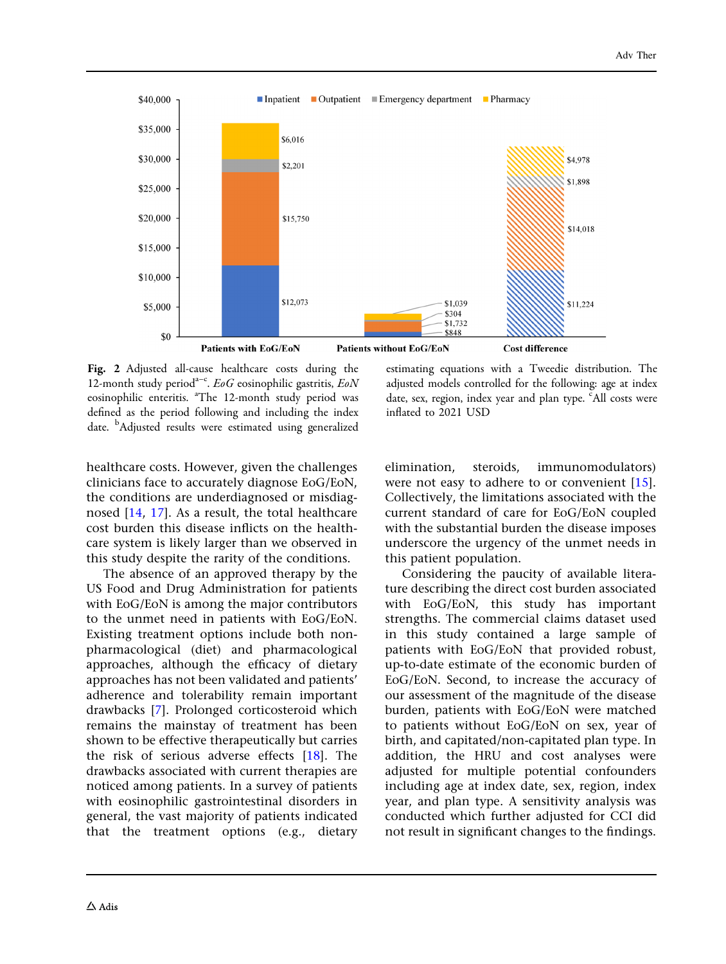<span id="page-9-0"></span>

Fig. 2 Adjusted all-cause healthcare costs during the 12-month study period<sup>a-c</sup>. EoG eosinophilic gastritis, EoN eosinophilic enteritis. <sup>a</sup>The 12-month study period was defined as the period following and including the index date. <sup>b</sup>Adjusted results were estimated using generalized

estimating equations with a Tweedie distribution. The adjusted models controlled for the following: age at index date, sex, region, index year and plan type. <sup>c</sup>All costs were inflated to 2021 USD

healthcare costs. However, given the challenges clinicians face to accurately diagnose EoG/EoN, the conditions are underdiagnosed or misdiagnosed [\[14,](#page-12-0) [17\]](#page-12-0). As a result, the total healthcare cost burden this disease inflicts on the healthcare system is likely larger than we observed in this study despite the rarity of the conditions.

The absence of an approved therapy by the US Food and Drug Administration for patients with EoG/EoN is among the major contributors to the unmet need in patients with EoG/EoN. Existing treatment options include both nonpharmacological (diet) and pharmacological approaches, although the efficacy of dietary approaches has not been validated and patients' adherence and tolerability remain important drawbacks [\[7\]](#page-12-0). Prolonged corticosteroid which remains the mainstay of treatment has been shown to be effective therapeutically but carries the risk of serious adverse effects [\[18\]](#page-12-0). The drawbacks associated with current therapies are noticed among patients. In a survey of patients with eosinophilic gastrointestinal disorders in general, the vast majority of patients indicated that the treatment options (e.g., dietary elimination, steroids, immunomodulators) were not easy to adhere to or convenient [[15](#page-12-0)]. Collectively, the limitations associated with the current standard of care for EoG/EoN coupled with the substantial burden the disease imposes underscore the urgency of the unmet needs in this patient population.

Considering the paucity of available literature describing the direct cost burden associated with EoG/EoN, this study has important strengths. The commercial claims dataset used in this study contained a large sample of patients with EoG/EoN that provided robust, up-to-date estimate of the economic burden of EoG/EoN. Second, to increase the accuracy of our assessment of the magnitude of the disease burden, patients with EoG/EoN were matched to patients without EoG/EoN on sex, year of birth, and capitated/non-capitated plan type. In addition, the HRU and cost analyses were adjusted for multiple potential confounders including age at index date, sex, region, index year, and plan type. A sensitivity analysis was conducted which further adjusted for CCI did not result in significant changes to the findings.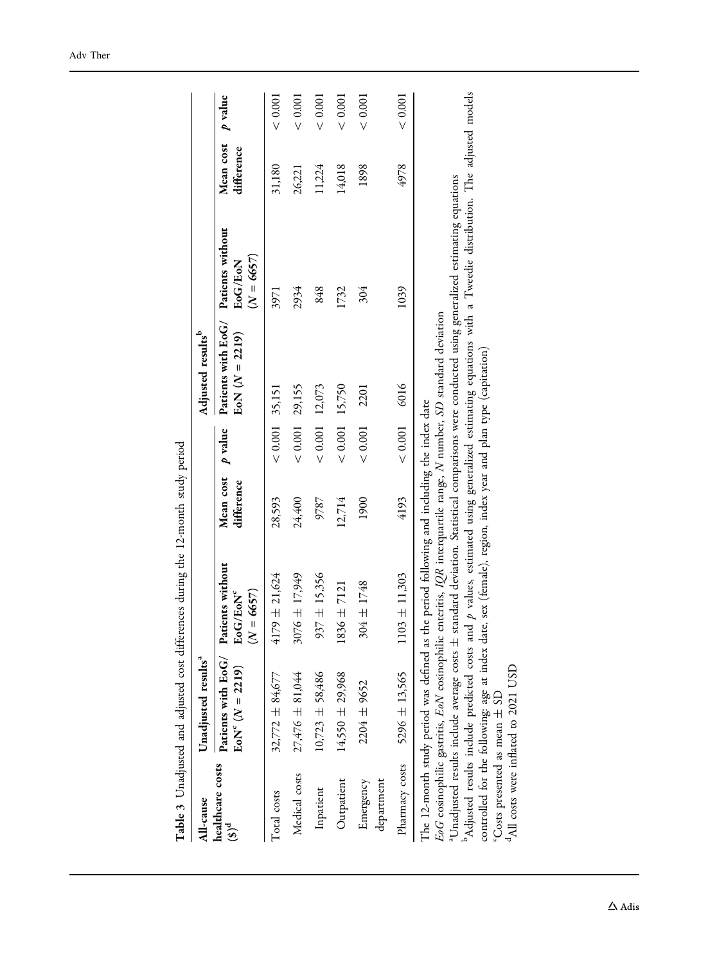<span id="page-10-0"></span>

|                              |                                                                                                                                                   | Table 3 Unadjusted and adjusted cost differences during the 12-month study period                                                                                                                                                                                                                                                                                        |                         |                  |                                                                     |                                                                                                   |                         |         |
|------------------------------|---------------------------------------------------------------------------------------------------------------------------------------------------|--------------------------------------------------------------------------------------------------------------------------------------------------------------------------------------------------------------------------------------------------------------------------------------------------------------------------------------------------------------------------|-------------------------|------------------|---------------------------------------------------------------------|---------------------------------------------------------------------------------------------------|-------------------------|---------|
| All-cause                    | Unadjusted results <sup>a</sup>                                                                                                                   |                                                                                                                                                                                                                                                                                                                                                                          |                         |                  | Adjusted results <sup>b</sup>                                       |                                                                                                   |                         |         |
| healthcare costs<br>$(3)^d$  | Patients with EoG/<br>$EoN^{c} (N = 2219)$                                                                                                        | Patients without<br>EoG/EoN <sup>c</sup><br>$(N = 6657)$                                                                                                                                                                                                                                                                                                                 | Mean cost<br>difference | p value          | Patients with EoG/<br>$EoN (N = 2219)$                              | Patients without<br>$(N = 6657)$<br>EoG/EoN                                                       | Mean cost<br>difference | p value |
| Total costs                  | $32,772 \pm 84,677$                                                                                                                               | $4179 \pm 21,624$                                                                                                                                                                                                                                                                                                                                                        | 28,593                  | $< 0.001$ 35,151 |                                                                     | 3971                                                                                              | 31,180                  | < 0.001 |
| Medical costs                | $27,476 \pm 81,044$                                                                                                                               | $3076 \pm 17,949$                                                                                                                                                                                                                                                                                                                                                        | 24,400                  | $< 0.001$        | 29,155                                                              | 2934                                                                                              | 26,221                  | < 0.001 |
| Inpatient                    | $10,723 \pm 58,486$                                                                                                                               | $937 \pm 15,356$                                                                                                                                                                                                                                                                                                                                                         | 9787                    | < 0.001          | 12,073                                                              | 848                                                                                               | 11,224                  | < 0.001 |
| Outpatient                   | $14,550 \pm 29,968$                                                                                                                               | $1836 \pm 7121$                                                                                                                                                                                                                                                                                                                                                          | 12,714                  | ${}< 0.001$      | 15,750                                                              | 1732                                                                                              | 14,018                  | < 0.001 |
| department<br>Emergency      | 2204 ± 9652                                                                                                                                       | 304 ± 1748                                                                                                                                                                                                                                                                                                                                                               | 1900                    | ${}< 0.001$      | 2201                                                                | 304                                                                                               | 1898                    | < 0.001 |
| Pharmacy costs               | $5296 \pm 13,565$                                                                                                                                 | $1103 \pm 11,303$                                                                                                                                                                                                                                                                                                                                                        | 4193                    | < 0.001          | 6016                                                                | 1039                                                                                              | 4978                    | < 0.001 |
| Costs presented as mean ± SD | aUnadjusted results include average costs ± :<br>EoG eosinophilic gastritis, EoN eosinophilic<br><sup>4</sup> All costs were inflated to 2021 USD | Adjusted results include predicted costs and $p$ values, estimated using generalized estimating equations with a Tweedie distribution. The adjusted models<br>controlled for the following: age at index date, sex (female), region, index year and plan type (capitation)<br>The 12-month study period was defined as the period following and including the index date |                         |                  | enteritis, IQR interquartile range, N number, SD standard deviation | standard deviation. Statistical comparisons were conducted using generalized estimating equations |                         |         |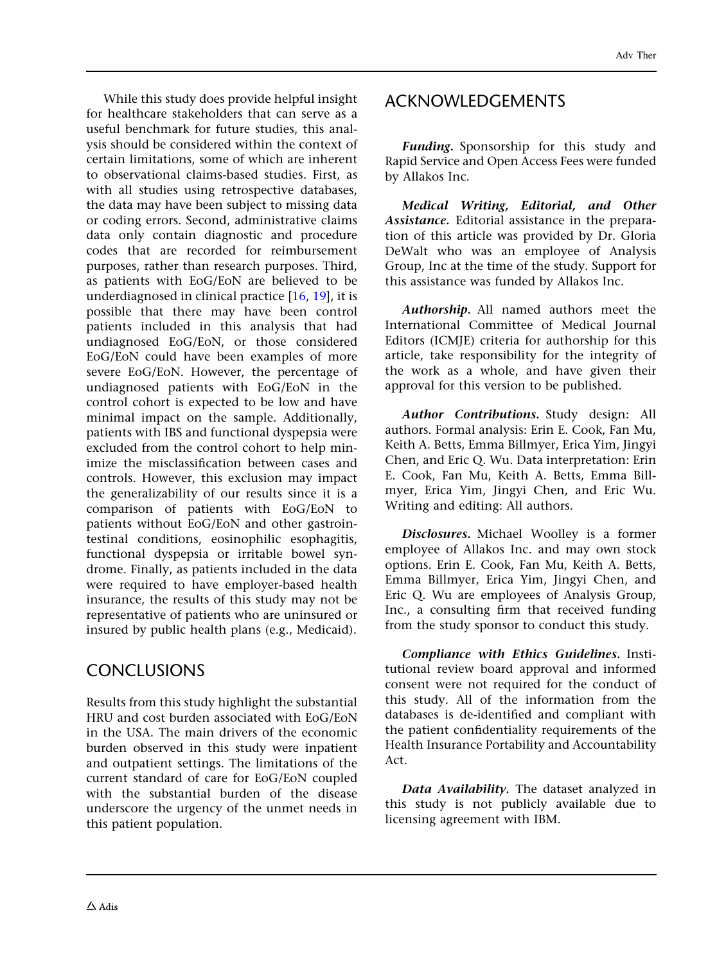While this study does provide helpful insight for healthcare stakeholders that can serve as a useful benchmark for future studies, this analysis should be considered within the context of certain limitations, some of which are inherent to observational claims-based studies. First, as with all studies using retrospective databases, the data may have been subject to missing data or coding errors. Second, administrative claims data only contain diagnostic and procedure codes that are recorded for reimbursement purposes, rather than research purposes. Third, as patients with EoG/EoN are believed to be underdiagnosed in clinical practice [[16,](#page-12-0) [19\]](#page-12-0), it is possible that there may have been control patients included in this analysis that had undiagnosed EoG/EoN, or those considered EoG/EoN could have been examples of more severe EoG/EoN. However, the percentage of undiagnosed patients with EoG/EoN in the control cohort is expected to be low and have minimal impact on the sample. Additionally, patients with IBS and functional dyspepsia were excluded from the control cohort to help minimize the misclassification between cases and controls. However, this exclusion may impact the generalizability of our results since it is a comparison of patients with EoG/EoN to patients without EoG/EoN and other gastrointestinal conditions, eosinophilic esophagitis, functional dyspepsia or irritable bowel syndrome. Finally, as patients included in the data were required to have employer-based health insurance, the results of this study may not be representative of patients who are uninsured or insured by public health plans (e.g., Medicaid).

## **CONCLUSIONS**

Results from this study highlight the substantial HRU and cost burden associated with EoG/EoN in the USA. The main drivers of the economic burden observed in this study were inpatient and outpatient settings. The limitations of the current standard of care for EoG/EoN coupled with the substantial burden of the disease underscore the urgency of the unmet needs in this patient population.

## ACKNOWLEDGEMENTS

Funding. Sponsorship for this study and Rapid Service and Open Access Fees were funded by Allakos Inc.

Medical Writing, Editorial, and Other Assistance. Editorial assistance in the preparation of this article was provided by Dr. Gloria DeWalt who was an employee of Analysis Group, Inc at the time of the study. Support for this assistance was funded by Allakos Inc.

Authorship. All named authors meet the International Committee of Medical Journal Editors (ICMJE) criteria for authorship for this article, take responsibility for the integrity of the work as a whole, and have given their approval for this version to be published.

Author Contributions. Study design: All authors. Formal analysis: Erin E. Cook, Fan Mu, Keith A. Betts, Emma Billmyer, Erica Yim, Jingyi Chen, and Eric Q. Wu. Data interpretation: Erin E. Cook, Fan Mu, Keith A. Betts, Emma Billmyer, Erica Yim, Jingyi Chen, and Eric Wu. Writing and editing: All authors.

Disclosures. Michael Woolley is a former employee of Allakos Inc. and may own stock options. Erin E. Cook, Fan Mu, Keith A. Betts, Emma Billmyer, Erica Yim, Jingyi Chen, and Eric Q. Wu are employees of Analysis Group, Inc., a consulting firm that received funding from the study sponsor to conduct this study.

Compliance with Ethics Guidelines. Institutional review board approval and informed consent were not required for the conduct of this study. All of the information from the databases is de-identified and compliant with the patient confidentiality requirements of the Health Insurance Portability and Accountability Act.

Data Availability. The dataset analyzed in this study is not publicly available due to licensing agreement with IBM.